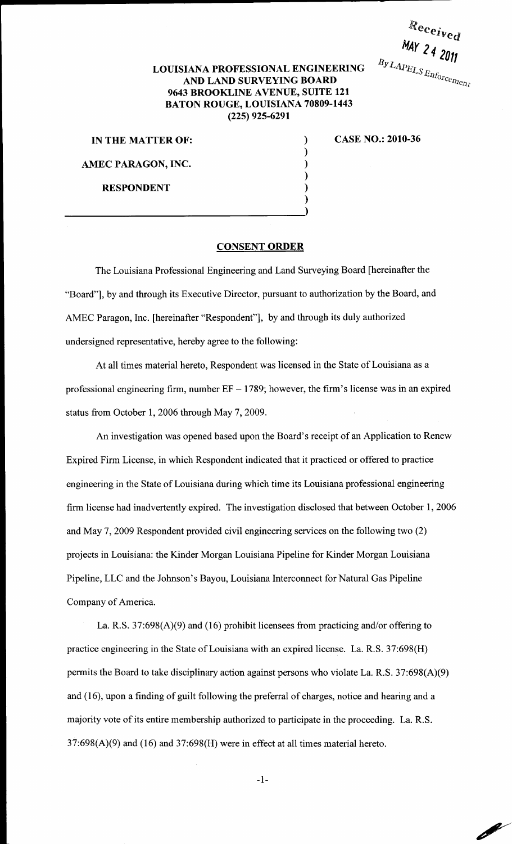$R$ eceived MAY 24 2011 

Ø

## LOUISIANA PROFESSIONAL ENGINEERING AND LAND SURVEYING BOARD 9643 BROOKLINE AVENUE, SUITE 121 BATON ROUGE, LOUISIANA 70809-1443 (225) 925-6291

) ) ) ) ) )

IN THE MATTER OF:

AMEC PARAGON, INC.

RESPONDENT

CASE NO.: 2010-36

## CONSENT ORDER

The Louisiana Professional Engineering and Land Surveying Board [hereinafter the "Board"], by and through its Executive Director, pursuant to authorization by the Board, and AMEC Paragon, Inc. [hereinafter "Respondent"], by and through its duly authorized undersigned representative, hereby agree to the following:

At all times material hereto, Respondent was licensed in the State of Louisiana as a professional engineering firm, number  $EF - 1789$ ; however, the firm's license was in an expired status from October 1, 2006 through May 7, 2009.

An investigation was opened based upon the Board's receipt of an Application to Renew Expired Firm License, in which Respondent indicated that it practiced or offered to practice engineering in the State of Louisiana during which time its Louisiana professional engineering firm license had inadvertently expired. The investigation disclosed that between October 1, 2006 and May 7, 2009 Respondent provided civil engineering services on the following two (2) projects in Louisiana: the Kinder Morgan Louisiana Pipeline for Kinder Morgan Louisiana Pipeline, LLC and the Johnson's Bayou, Louisiana Interconnect for Natural Gas Pipeline Company of America.

La. R.S. 37:698(A)(9) and (16) prohibit licensees from practicing and/or offering to practice engineering in the State of Louisiana with an expired license. La. R.S. 37:698(H) permits the Board to take disciplinary action against persons who violate La. R.S. 37:698(A)(9) and ( 16), upon a finding of guilt following the preferral of charges, notice and hearing and a majority vote of its entire membership authorized to participate in the proceeding. La. R.S.  $37:698(A)(9)$  and  $(16)$  and  $37:698(H)$  were in effect at all times material hereto.

-1-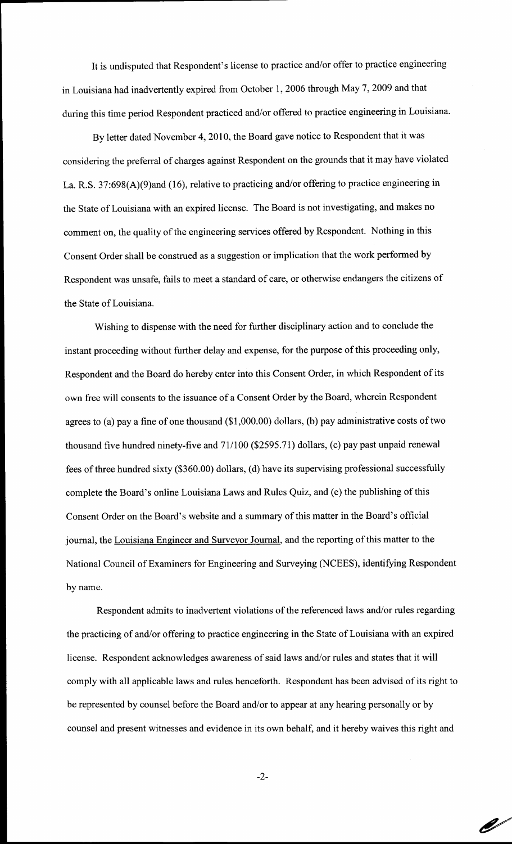It is undisputed that Respondent's license to practice and/or offer to practice engineering in Louisiana had inadvertently expired from October 1, 2006 through May 7, 2009 and that during this time period Respondent practiced and/or offered to practice engineering in Louisiana.

By letter dated November 4, 2010, the Board gave notice to Respondent that it was considering the preferral of charges against Respondent on the grounds that it may have violated La. R.S. 37:698(A)(9)and (16), relative to practicing and/or offering to practice engineering in the State of Louisiana with an expired license. The Board is not investigating, and makes no comment on, the quality of the engineering services offered by Respondent. Nothing in this Consent Order shall be construed as a suggestion or implication that the work performed by Respondent was unsafe, fails to meet a standard of care, or otherwise endangers the citizens of the State of Louisiana.

Wishing to dispense with the need for further disciplinary action and to conclude the instant proceeding without further delay and expense, for the purpose of this proceeding only, Respondent and the Board do hereby enter into this Consent Order, in which Respondent of its own free will consents to the issuance of a Consent Order by the Board, wherein Respondent agrees to (a) pay a fine of one thousand (\$1 ,000.00) dollars, (b) pay administrative costs of two thousand five hundred ninety-five and 71/100 (\$2595.71) dollars, (c) pay past unpaid renewal fees of three hundred sixty (\$360.00) dollars, (d) have its supervising professional successfully complete the Board's online Louisiana Laws and Rules Quiz, and (e) the publishing of this Consent Order on the Board's website and a summary of this matter in the Board's official journal, the Louisiana Engineer and Surveyor Journal, and the reporting of this matter to the National Council of Examiners for Engineering and Surveying (NCEES), identifying Respondent by name.

Respondent admits to inadvertent violations of the referenced laws and/or rules regarding the practicing of and/or offering to practice engineering in the State of Louisiana with an expired license. Respondent acknowledges awareness of said laws and/or rules and states that it will comply with all applicable laws and rules henceforth. Respondent has been advised of its right to be represented by counsel before the Board and/or to appear at any hearing personally or by counsel and present witnesses and evidence in its own behalf, and it hereby waives this right and

-2-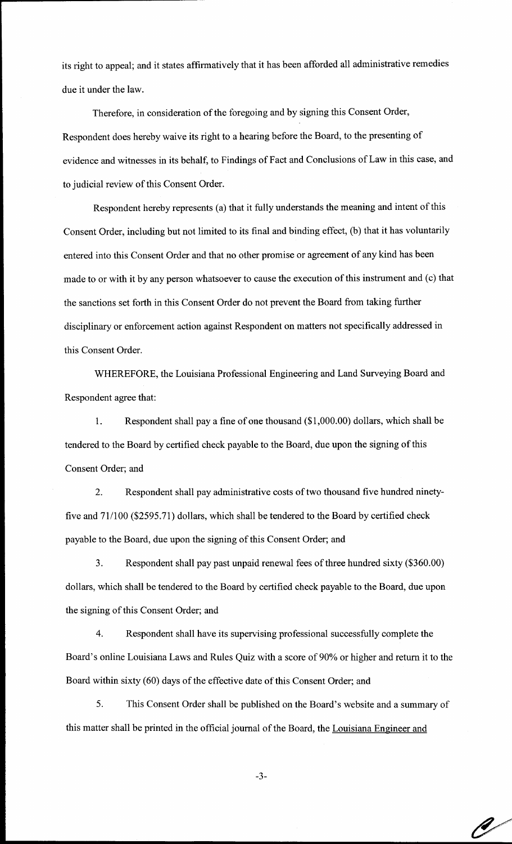its right to appeal; and it states affirmatively that it has been afforded all administrative remedies due it under the law.

Therefore, in consideration of the foregoing and by signing this Consent Order, Respondent does hereby waive its right to a hearing before the Board, to the presenting of evidence and witnesses in its behalf, to Findings of Fact and Conclusions of Law in this case, and to judicial review of this Consent Order.

Respondent hereby represents (a) that it fully understands the meaning and intent of this Consent Order, including but not limited to its final and binding effect, (b) that it has voluntarily entered into this Consent Order and that no other promise or agreement of any kind has been made to or with it by any person whatsoever to cause the execution of this instrument and (c) that the sanctions set forth in this Consent Order do not prevent the Board from taking further disciplinary or enforcement action against Respondent on matters not specifically addressed in this Consent Order.

WHEREFORE, the Louisiana Professional Engineering and Land Surveying Board and Respondent agree that:

1. Respondent shall pay a fine of one thousand (\$1 ,000.00) dollars, which shall be tendered to the Board by certified check payable to the Board, due upon the signing of this Consent Order; and

2. Respondent shall pay administrative costs of two thousand five hundred ninetyfive and 71/100 (\$2595.71) dollars, which shall be tendered to the Board by certified check payable to the Board, due upon the signing of this Consent Order; and

3. Respondent shall pay past unpaid renewal fees of three hundred sixty (\$360.00) dollars, which shall be tendered to the Board by certified check payable to the Board, due upon the signing of this Consent Order; and

4. Respondent shall have its supervising professional successfully complete the Board's online Louisiana Laws and Rules Quiz with a score of 90% or higher and return it to the Board within sixty (60) days of the effective date of this Consent Order; and

5. This Consent Order shall be published on the Board's website and a summary of this matter shall be printed in the official journal of the Board, the Louisiana Engineer and

-3-

P)